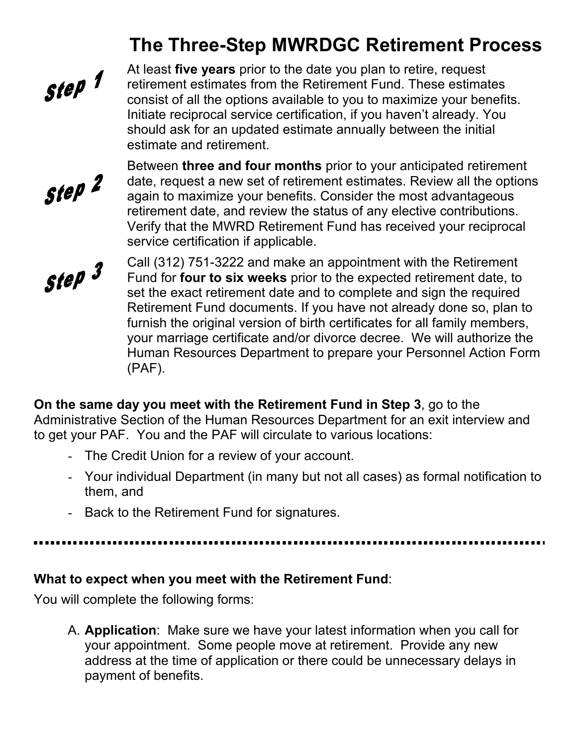## **The Three-Step MWRDGC Retirement Process**



At least **five years** prior to the date you plan to retire, request retirement estimates from the Retirement Fund. These estimates consist of all the options available to you to maximize your benefits. Initiate reciprocal service certification, if you haven't already. You should ask for an updated estimate annually between the initial estimate and retirement.



Between **three and four months** prior to your anticipated retirement date, request a new set of retirement estimates. Review all the options again to maximize your benefits. Consider the most advantageous retirement date, and review the status of any elective contributions. Verify that the MWRD Retirement Fund has received your reciprocal service certification if applicable.



Call (312) 751-3222 and make an appointment with the Retirement Fund for **four to six weeks** prior to the expected retirement date, to set the exact retirement date and to complete and sign the required Retirement Fund documents. If you have not already done so, plan to furnish the original version of birth certificates for all family members, your marriage certificate and/or divorce decree. We will authorize the Human Resources Department to prepare your Personnel Action Form (PAF).

**On the same day you meet with the Retirement Fund in Step 3**, go to the Administrative Section of the Human Resources Department for an exit interview and to get your PAF. You and the PAF will circulate to various locations:

- The Credit Union for a review of your account.
- Your individual Department (in many but not all cases) as formal notification to them, and
- Back to the Retirement Fund for signatures.

## **What to expect when you meet with the Retirement Fund**:

You will complete the following forms:

A. **Application**: Make sure we have your latest information when you call for your appointment. Some people move at retirement. Provide any new address at the time of application or there could be unnecessary delays in payment of benefits.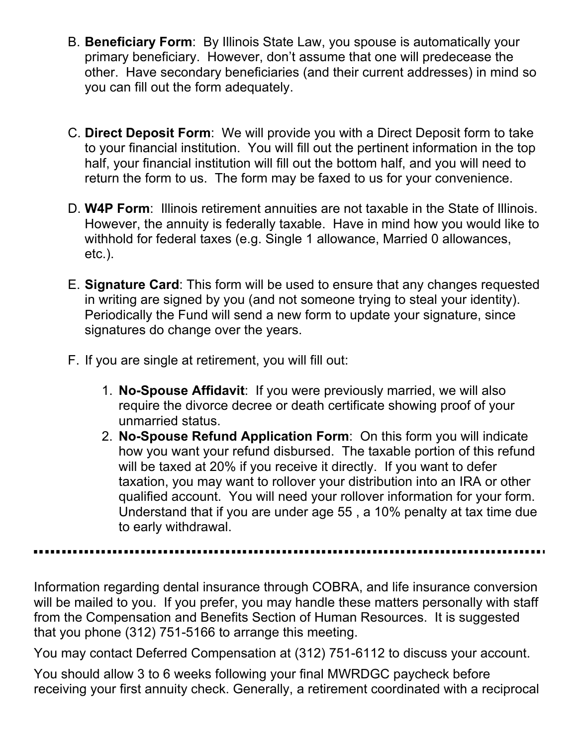- B. **Beneficiary Form**: By Illinois State Law, you spouse is automatically your primary beneficiary. However, don't assume that one will predecease the other. Have secondary beneficiaries (and their current addresses) in mind so you can fill out the form adequately.
- C. **Direct Deposit Form**: We will provide you with a Direct Deposit form to take to your financial institution. You will fill out the pertinent information in the top half, your financial institution will fill out the bottom half, and you will need to return the form to us. The form may be faxed to us for your convenience.
- D. **W4P Form**: Illinois retirement annuities are not taxable in the State of Illinois. However, the annuity is federally taxable. Have in mind how you would like to withhold for federal taxes (e.g. Single 1 allowance, Married 0 allowances, etc.).
- E. **Signature Card**: This form will be used to ensure that any changes requested in writing are signed by you (and not someone trying to steal your identity). Periodically the Fund will send a new form to update your signature, since signatures do change over the years.
- F. If you are single at retirement, you will fill out:
	- 1. **No-Spouse Affidavit**: If you were previously married, we will also require the divorce decree or death certificate showing proof of your unmarried status.
	- 2. **No-Spouse Refund Application Form**: On this form you will indicate how you want your refund disbursed. The taxable portion of this refund will be taxed at 20% if you receive it directly. If you want to defer taxation, you may want to rollover your distribution into an IRA or other qualified account. You will need your rollover information for your form. Understand that if you are under age 55 , a 10% penalty at tax time due to early withdrawal.

Information regarding dental insurance through COBRA, and life insurance conversion will be mailed to you. If you prefer, you may handle these matters personally with staff from the Compensation and Benefits Section of Human Resources. It is suggested that you phone (312) 751-5166 to arrange this meeting.

You may contact Deferred Compensation at (312) 751-6112 to discuss your account.

You should allow 3 to 6 weeks following your final MWRDGC paycheck before receiving your first annuity check. Generally, a retirement coordinated with a reciprocal